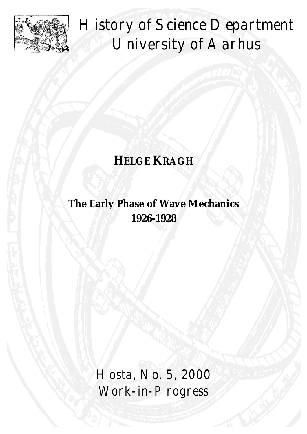

History of Science Department University of Aarhus

# **HELGE KRAGH**

## **The Early Phase of Wave Mechanics 1926-1928**

Hosta, No. 5, 2000 Work-in-Progress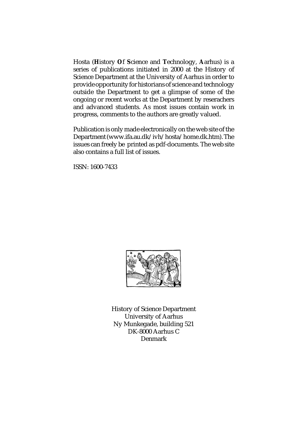Hosta (**H**istory **O**f **S**cience and **T**echnology, **A**arhus) is a series of publications initiated in 2000 at the History of Science Department at the University of Aarhus in order to provide opportunity for historians of science and technology outside the Department to get a glimpse of some of the ongoing or recent works at the Department by reserachers and advanced students. As most issues contain work in progress, comments to the authors are greatly valued.

Publication is only made electronically on the web site of the Department (www.ifa.au.dk/ivh/hosta/home.dk.htm). The issues can freely be printed as pdf-documents. The web site also contains a full list of issues.

ISSN: 1600-7433



History of Science Department University of Aarhus Ny Munkegade, building 521 DK-8000 Aarhus C Denmark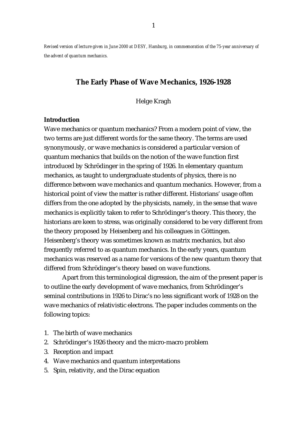*Revised version of lecture given in June 2000 at DESY, Hamburg, in commemoration of the 75-year anniversary of the advent of quantum mechanics.* 

### **The Early Phase of Wave Mechanics, 1926-1928**

Helge Kragh

#### **Introduction**

Wave mechanics or quantum mechanics? From a modern point of view, the two terms are just different words for the same theory. The terms are used synonymously, or wave mechanics is considered a particular version of quantum mechanics that builds on the notion of the wave function first introduced by Schrödinger in the spring of 1926. In elementary quantum mechanics, as taught to undergraduate students of physics, there is no difference between wave mechanics and quantum mechanics. However, from a historical point of view the matter is rather different. Historians' usage often differs from the one adopted by the physicists, namely, in the sense that wave mechanics is explicitly taken to refer to Schrödinger's theory. This theory, the historians are keen to stress, was originally considered to be very different from the theory proposed by Heisenberg and his colleagues in Göttingen. Heisenberg's theory was sometimes known as matrix mechanics, but also frequently referred to as quantum mechanics. In the early years, quantum mechanics was reserved as a name for versions of the new quantum theory that differed from Schrödinger's theory based on wave functions.

 Apart from this terminological digression, the aim of the present paper is to outline the early development of wave mechanics, from Schrödinger's seminal contributions in 1926 to Dirac's no less significant work of 1928 on the wave mechanics of relativistic electrons. The paper includes comments on the following topics:

- 1. The birth of wave mechanics
- 2. Schrödinger's 1926 theory and the micro-macro problem
- 3. Reception and impact
- 4. Wave mechanics and quantum interpretations
- 5. Spin, relativity, and the Dirac equation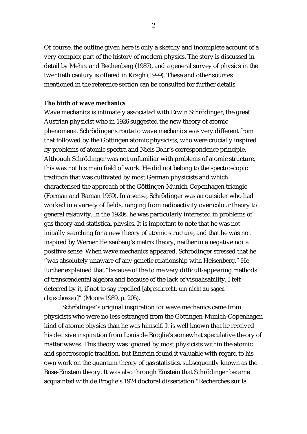Of course, the outline given here is only a sketchy and incomplete account of a very complex part of the history of modern physics. The story is discussed in detail by Mehra and Rechenberg (1987), and a general survey of physics in the twentieth century is offered in Kragh (1999). These and other sources mentioned in the reference section can be consulted for further details.

#### **The birth of wave mechanics**

Wave mechanics is intimately associated with Erwin Schrödinger, the great Austrian physicist who in 1926 suggested the new theory of atomic phenomena. Schrödinger's route to wave mechanics was very different from that followed by the Göttingen atomic physicists, who were crucially inspired by problems of atomic spectra and Niels Bohr's correspondence principle. Although Schrödinger was not unfamiliar with problems of atomic structure, this was not his main field of work. He did not belong to the spectroscopic tradition that was cultivated by most German physicists and which characterised the approach of the Göttingen-Munich-Copenhagen triangle (Forman and Raman 1969). In a sense, Schrödinger was an outsider who had worked in a variety of fields, ranging from radioactivity over colour theory to general relativity. In the 1920s, he was particularly interested in problems of gas theory and statistical physics. It is important to note that he was not initially searching for a new theory of atomic structure, and that he was not inspired by Werner Heisenberg's matrix theory, neither in a negative nor a positive sense. When wave mechanics appeared, Schrödinger stressed that he "was absolutely unaware of any genetic relationship with Heisenberg." He further explained that "because of the to me very difficult-appearing methods of transcendental algebra and because of the lack of visualisability, I felt deterred by it, if not to say repelled [*abgeschrecht, um nicht zu sagen abgeschossen*]" (Moore 1989, p. 205).

 Schrödinger's original inspiration for wave mechanics came from physicists who were no less estranged from the Göttingen-Munich-Copenhagen kind of atomic physics than he was himself. It is well known that he received his decisive inspiration from Louis de Broglie's somewhat speculative theory of matter waves. This theory was ignored by most physicists within the atomic and spectroscopic tradition, but Einstein found it valuable with regard to his own work on the quantum theory of gas statistics, subsequently known as the Bose-Einstein theory. It was also through Einstein that Schrödinger became acquainted with de Broglie's 1924 doctoral dissertation "Recherches sur la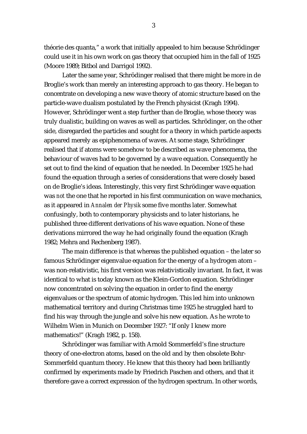théorie des quanta," a work that initially appealed to him because Schrödinger could use it in his own work on gas theory that occupied him in the fall of 1925 (Moore 1989; Bitbol and Darrigol 1992).

 Later the same year, Schrödinger realised that there might be more in de Broglie's work than merely an interesting approach to gas theory. He began to concentrate on developing a new wave theory of atomic structure based on the particle-wave dualism postulated by the French physicist (Kragh 1994). However, Schrödinger went a step further than de Broglie, whose theory was truly dualistic, building on waves as well as particles. Schrödinger, on the other side, disregarded the particles and sought for a theory in which particle aspects appeared merely as epiphenomena of waves. At some stage, Schrödinger realised that if atoms were somehow to be described as wave phenomena, the behaviour of waves had to be governed by a wave equation. Consequently he set out to find the kind of equation that he needed. In December 1925 he had found the equation through a series of considerations that were closely based on de Broglie's ideas. Interestingly, this very first Schrödinger wave equation was *not* the one that he reported in his first communication on wave mechanics, as it appeared in *Annalen der Physik* some five months later. Somewhat confusingly, both to contemporary physicists and to later historians, he published three different derivations of his wave equation. None of these derivations mirrored the way he had originally found the equation (Kragh 1982; Mehra and Rechenberg 1987).

 The main difference is that whereas the published equation – the later so famous Schrödinger eigenvalue equation for the energy of a hydrogen atom – was non-relativistic, his first version was relativistically invariant. In fact, it was identical to what is today known as the Klein-Gordon equation. Schrödinger now concentrated on solving the equation in order to find the energy eigenvalues or the spectrum of atomic hydrogen. This led him into unknown mathematical territory and during Christmas time 1925 he struggled hard to find his way through the jungle and solve his new equation. As he wrote to Wilhelm Wien in Munich on December 1927: "If only I knew more mathematics!" (Kragh 1982, p. 158).

 Schrödinger was familiar with Arnold Sommerfeld's fine structure theory of one-electron atoms, based on the old and by then obsolete Bohr-Sommerfeld quantum theory. He knew that this theory had been brilliantly confirmed by experiments made by Friedrich Paschen and others, and that it therefore gave a correct expression of the hydrogen spectrum. In other words,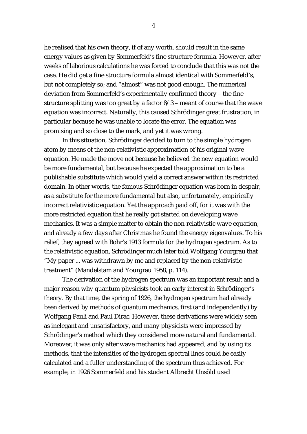he realised that his own theory, if of any worth, should result in the same energy values as given by Sommerfeld's fine structure formula. However, after weeks of laborious calculations he was forced to conclude that this was not the case. He did get a fine structure formula almost identical with Sommerfeld's, but not completely so; and "almost" was not good enough. The numerical deviation from Sommerfeld's experimentally confirmed theory – the fine structure splitting was too great by a factor 8/3 – meant of course that the wave equation was incorrect. Naturally, this caused Schrödinger great frustration, in particular because he was unable to locate the error. The equation was promising and so close to the mark, and yet it was wrong.

 In this situation, Schrödinger decided to turn to the simple hydrogen atom by means of the non-relativistic approximation of his original wave equation. He made the move not because he believed the new equation would be more fundamental, but because he expected the approximation to be a publishable substitute which would yield a correct answer within its restricted domain. In other words, the famous Schrödinger equation was born in despair, as a substitute for the more fundamental but also, unfortunately, empirically incorrect relativistic equation. Yet the approach paid off, for it was with the more restricted equation that he really got started on developing wave mechanics. It was a simple matter to obtain the non-relativistic wave equation, and already a few days after Christmas he found the energy eigenvalues. To his relief, they agreed with Bohr's 1913 formula for the hydrogen spectrum. As to the relativistic equation, Schrödinger much later told Wolfgang Yourgrau that "My paper ... was withdrawn by me and replaced by the non-relativistic treatment" (Mandelstam and Yourgrau 1958, p. 114).

 The derivation of the hydrogen spectrum was an important result and a major reason why quantum physicists took an early interest in Schrödinger's theory. By that time, the spring of 1926, the hydrogen spectrum had already been derived by methods of quantum mechanics, first (and independently) by Wolfgang Pauli and Paul Dirac. However, these derivations were widely seen as inelegant and unsatisfactory, and many physicists were impressed by Schrödinger's method which they considered more natural and fundamental. Moreover, it was only after wave mechanics had appeared, and by using its methods, that the intensities of the hydrogen spectral lines could be easily calculated and a fuller understanding of the spectrum thus achieved. For example, in 1926 Sommerfeld and his student Albrecht Unsöld used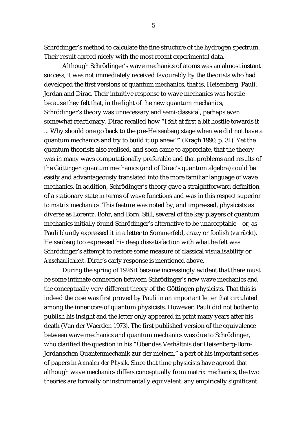Schrödinger's method to calculate the fine structure of the hydrogen spectrum. Their result agreed nicely with the most recent experimental data.

 Although Schrödinger's wave mechanics of atoms was an almost instant success, it was not immediately received favourably by the theorists who had developed the first versions of quantum mechanics, that is, Heisenberg, Pauli, Jordan and Dirac. Their intuitive response to wave mechanics was hostile because they felt that, in the light of the new quantum mechanics, Schrödinger's theory was unnecessary and semi-classical, perhaps even somewhat reactionary. Dirac recalled how "I felt at first a bit hostile towards it ... Why should one go back to the pre-Heisenberg stage when we did not have a quantum mechanics and try to build it up anew?" (Kragh 1990, p. 31). Yet the quantum theorists also realised, and soon came to appreciate, that the theory was in many ways computationally preferable and that problems and results of the Göttingen quantum mechanics (and of Dirac's quantum algebra) could be easily and advantageously translated into the more familiar language of wave mechanics. In addition, Schrödinger's theory gave a straightforward definition of a stationary state in terms of wave functions and was in this respect superior to matrix mechanics. This feature was noted by, and impressed, physicists as diverse as Lorentz, Bohr, and Born. Still, several of the key players of quantum mechanics initially found Schrödinger's alternative to be unacceptable – or, as Pauli bluntly expressed it in a letter to Sommerfeld, crazy or foolish (*verrückt*). Heisenberg too expressed his deep dissatisfaction with what he felt was Schrödinger's attempt to restore some measure of classical visualisability or *Anschaulichkeit*. Dirac's early response is mentioned above.

 During the spring of 1926 it became increasingly evident that there must be some intimate connection between Schrödinger's new wave mechanics and the conceptually very different theory of the Göttingen physicists. That this is indeed the case was first proved by Pauli in an important letter that circulated among the inner core of quantum physicists. However, Pauli did not bother to publish his insight and the letter only appeared in print many years after his death (Van der Waerden 1973). The first published version of the equivalence between wave mechanics and quantum mechanics was due to Schrödinger, who clarified the question in his "Über das Verhältnis der Heisenberg-Born-Jordanschen Quantenmechanik zur der meinen," a part of his important series of papers in *Annalen der Physik*. Since that time physicists have agreed that although wave mechanics differs conceptually from matrix mechanics, the two theories are formally or instrumentally equivalent: any empirically significant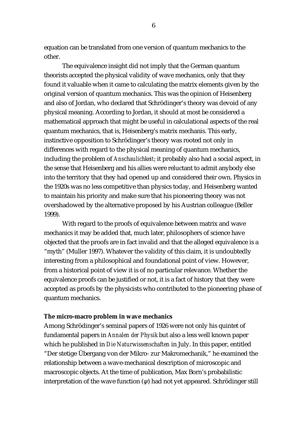equation can be translated from one version of quantum mechanics to the other.

 The equivalence insight did not imply that the German quantum theorists accepted the physical validity of wave mechanics, only that they found it valuable when it came to calculating the matrix elements given by the original version of quantum mechanics. This was the opinion of Heisenberg and also of Jordan, who declared that Schrödinger's theory was devoid of any physical meaning. According to Jordan, it should at most be considered a mathematical approach that might be useful in calculational aspects of the real quantum mechanics, that is, Heisenberg's matrix mechanis. This early, instinctive opposition to Schrödinger's theory was rooted not only in differences with regard to the physical meaning of quantum mechanics, including the problem of *Anschaulichkeit*; it probably also had a social aspect, in the sense that Heisenberg and his allies were reluctant to admit anybody else into the territory that they had opened up and considered their own. Physics in the 1920s was no less competitive than physics today, and Heisenberg wanted to maintain his priority and make sure that his pioneering theory was not overshadowed by the alternative proposed by his Austrian colleague (Beller 1999).

 With regard to the proofs of equivalence between matrix and wave mechanics it may be added that, much later, philosophers of science have objected that the proofs are in fact invalid and that the alleged equivalence is a "myth" (Muller 1997). Whatever the validity of this claim, it is undoubtedly interesting from a philosophical and foundational point of view. However, from a historical point of view it is of no particular relevance. Whether the equivalence proofs can be justified or not, it is a fact of history that they were accepted as proofs by the physicists who contributed to the pioneering phase of quantum mechanics.

#### **The micro-macro problem in wave mechanics**

Among Schrödinger's seminal papers of 1926 were not only his quintet of fundamental papers in *Annalen der Physik* but also a less well known paper which he published in *Die Naturwissenschaften* in July. In this paper, entitled "Der stetige Übergang von der Mikro- zur Makromechanik," he examined the relationship between a wave-mechanical description of microscopic and macroscopic objects. At the time of publication, Max Born's probabilistic interpretation of the wave function  $(\psi)$  had not yet appeared. Schrödinger still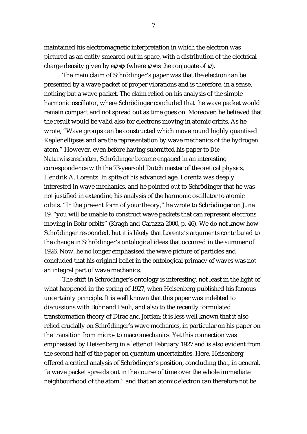maintained his electromagnetic interpretation in which the electron was pictured as an entity smeared out in space, with a distribution of the electrical charge density given by *e*ψ∗ψ (where ψ∗ is the conjugate of ψ).

 The main claim of Schrödinger's paper was that the electron can be presented by a wave packet of proper vibrations and is therefore, in a sense, nothing but a wave packet. The claim relied on his analysis of the simple harmonic oscillator, where Schrödinger concluded that the wave packet would remain compact and not spread out as time goes on. Moreover, he believed that the result would be valid also for electrons moving in atomic orbits. As he wrote, "Wave groups can be constructed which move round highly quantised Kepler ellipses and are the representation by wave mechanics of the hydrogen atom." However, even before having submitted his paper to *Die Naturwissenschaften*, Schrödinger became engaged in an interesting correspondence with the 73-year-old Dutch master of theoretical physics, Hendrik A. Lorentz. In spite of his advanced age, Lorentz was deeply interested in wave mechanics, and he pointed out to Schrödinger that he was not justified in extending his analysis of the harmonic oscillator to atomic orbits. "In the present form of your theory," he wrote to Schrödinger on June 19, "you will be unable to construct wave packets that can represent electrons moving in Bohr orbits" (Kragh and Carazza 2000, p. 46). We do not know how Schrödinger responded, but it is likely that Lorentz's arguments contributed to the change in Schrödinger's ontological ideas that occurred in the summer of 1926. Now, he no longer emphasised the wave picture of particles and concluded that his original belief in the ontological primacy of waves was not an integral part of wave mechanics.

 The shift in Schrödinger's ontology is interesting, not least in the light of what happened in the spring of 1927, when Heisenberg published his famous uncertainty principle. It is well known that this paper was indebted to discussions with Bohr and Pauli, and also to the recently formulated transformation theory of Dirac and Jordan; it is less well known that it also relied crucially on Schrödinger's wave mechanics, in particular on his paper on the transition from micro- to macromechanics. Yet this connection was emphasised by Heisenberg in a letter of February 1927 and is also evident from the second half of the paper on quantum uncertainties. Here, Heisenberg offered a critical analysis of Schrödinger's position, concluding that, in general, "a wave packet spreads out in the course of time over the whole immediate neighbourhood of the atom," and that an atomic electron can therefore not be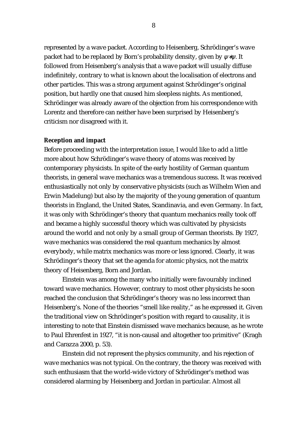represented by a wave packet. According to Heisenberg, Schrödinger's wave packet had to be replaced by Born's probability density, given by  $\psi^* \psi$ . It followed from Heisenberg's analysis that a wave packet will usually diffuse indefinitely, contrary to what is known about the localisation of electrons and other particles. This was a strong argument against Schrödinger's original position, but hardly one that caused him sleepless nights. As mentioned, Schrödinger was already aware of the objection from his correspondence with Lorentz and therefore can neither have been surprised by Heisenberg's criticism nor disagreed with it.

#### **Reception and impact**

Before proceeding with the interpretation issue, I would like to add a little more about how Schrödinger's wave theory of atoms was received by contemporary physicists. In spite of the early hostility of German quantum theorists, in general wave mechanics was a tremendous success. It was received enthusiastically not only by conservative physicists (such as Wilhelm Wien and Erwin Madelung) but also by the majority of the young generation of quantum theorists in England, the United States, Scandinavia, and even Germany. In fact, it was only with Schrödinger's theory that quantum mechanics really took off and became a highly successful theory which was cultivated by physicists around the world and not only by a small group of German theorists. By 1927, wave mechanics was considered the real quantum mechanics by almost everybody, while matrix mechanics was more or less ignored. Clearly, it was Schrödinger's theory that set the agenda for atomic physics, not the matrix theory of Heisenberg, Born and Jordan.

 Einstein was among the many who initially were favourably inclined toward wave mechanics. However, contrary to most other physicists he soon reached the conclusion that Schrödinger's theory was no less incorrect than Heisenberg's. None of the theories "smell like reality," as he expressed it. Given the traditional view on Schrödinger's position with regard to causality, it is interesting to note that Einstein dismissed wave mechanics because, as he wrote to Paul Ehrenfest in 1927, "it is non-causal and altogether too primitive" (Kragh and Carazza 2000, p. 53).

 Einstein did not represent the physics community, and his rejection of wave mechanics was not typical. On the contrary, the theory was received with such enthusiasm that the world-wide victory of Schrödinger's method was considered alarming by Heisenberg and Jordan in particular. Almost all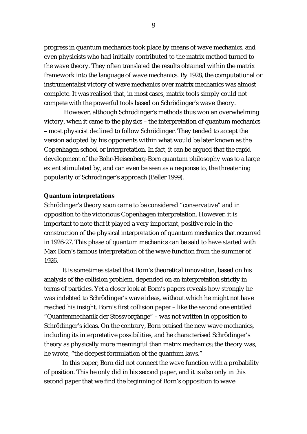progress in quantum mechanics took place by means of wave mechanics, and even physicists who had initially contributed to the matrix method turned to the wave theory. They often translated the results obtained within the matrix framework into the language of wave mechanics. By 1928, the computational or instrumentalist victory of wave mechanics over matrix mechanics was almost complete. It was realised that, in most cases, matrix tools simply could not compete with the powerful tools based on Schrödinger's wave theory.

 However, although Schrödinger's methods thus won an overwhelming victory, when it came to the physics – the interpretation of quantum mechanics – most physicist declined to follow Schrödinger. They tended to accept the version adopted by his opponents within what would be later known as the Copenhagen school or interpretation. In fact, it can be argued that the rapid development of the Bohr-Heisenberg-Born quantum philosophy was to a large extent stimulated by, and can even be seen as a response to, the threatening popularity of Schrödinger's approach (Beller 1999).

#### **Quantum interpretations**

Schrödinger's theory soon came to be considered "conservative" and in opposition to the victorious Copenhagen interpretation. However, it is important to note that it played a very important, positive role in the construction of the physical interpretation of quantum mechanics that occurred in 1926-27. This phase of quantum mechanics can be said to have started with Max Born's famous interpretation of the wave function from the summer of 1926.

 It is sometimes stated that Born's theoretical innovation, based on his analysis of the collision problem, depended on an interpretation strictly in terms of particles. Yet a closer look at Born's papers reveals how strongly he was indebted to Schrödinger's wave ideas, without which he might not have reached his insight. Born's first collision paper – like the second one entitled "Quantenmechanik der Stossvorgänge" – was not written in opposition to Schrödinger's ideas. On the contrary, Born praised the new wave mechanics, including its interpretative possibilities, and he characterised Schrödinger's theory as physically more meaningful than matrix mechanics; the theory was, he wrote, "the deepest formulation of the quantum laws."

 In this paper, Born did not connect the wave function with a probability of position. This he only did in his second paper, and it is also only in this second paper that we find the beginning of Born's opposition to wave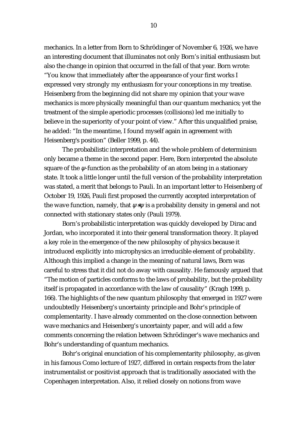mechanics. In a letter from Born to Schrödinger of November 6, 1926, we have an interesting document that illuminates not only Born's initial enthusiasm but also the change in opinion that occurred in the fall of that year. Born wrote: "You know that immediately after the appearance of your first works I expressed very strongly my enthusiasm for your conceptions in my treatise. Heisenberg from the beginning did not share my opinion that your wave mechanics is more physically meaningful than our quantum mechanics; yet the treatment of the simple aperiodic processes (collisions) led me initially to believe in the superiority of your point of view." After this unqualified praise, he added: "In the meantime, I found myself again in agreement with Heisenberg's position" (Beller 1999, p. 44).

 The probabilistic interpretation and the whole problem of determinism only became a theme in the second paper. Here, Born interpreted the absolute square of the  $\psi$ -function as the probability of an atom being in a stationary state. It took a little longer until the full version of the probability interpretation was stated, a merit that belongs to Pauli. In an important letter to Heisenberg of October 19, 1926, Pauli first proposed the currently accepted interpretation of the wave function, namely, that  $\psi^* \psi$  is a probability density in general and not connected with stationary states only (Pauli 1979).

 Born's probabilistic interpretation was quickly developed by Dirac and Jordan, who incorporated it into their general transformation theory. It played a key role in the emergence of the new philosophy of physics because it introduced explicitly into microphysics an irreducible element of probability. Although this implied a change in the meaning of natural laws, Born was careful to stress that it did not do away with causality. He famously argued that "The motion of particles conforms to the laws of probability, but the probability itself is propagated in accordance with the law of causality" (Kragh 1999, p. 166). The highlights of the new quantum philosophy that emerged in 1927 were undoubtedly Heisenberg's uncertainty principle and Bohr's principle of complementarity. I have already commented on the close connection between wave mechanics and Heisenberg's uncertainty paper, and will add a few comments concerning the relation between Schrödinger's wave mechanics and Bohr's understanding of quantum mechanics.

 Bohr's original enunciation of his complementarity philosophy, as given in his famous Como lecture of 1927, differed in certain respects from the later instrumentalist or positivist approach that is traditionally associated with the Copenhagen interpretation. Also, it relied closely on notions from wave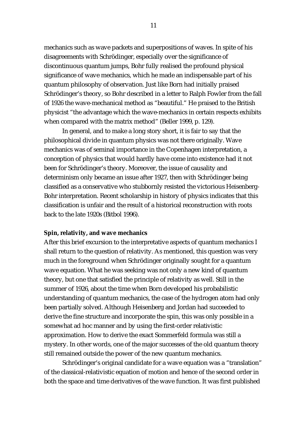mechanics such as wave packets and superpositions of waves. In spite of his disagreements with Schrödinger, especially over the significance of discontinuous quantum jumps, Bohr fully realised the profound physical significance of wave mechanics, which he made an indispensable part of his quantum philosophy of observation. Just like Born had initially praised Schrödinger's theory, so Bohr described in a letter to Ralph Fowler from the fall of 1926 the wave-mechanical method as "beautiful." He praised to the British physicist "the advantage which the wave-mechanics in certain respects exhibits when compared with the matrix method" (Beller 1999, p. 129).

 In general, and to make a long story short, it is fair to say that the philosophical divide in quantum physics was not there originally. Wave mechanics was of seminal importance in the Copenhagen interpretation, a conception of physics that would hardly have come into existence had it not been for Schrödinger's theory. Moreover, the issue of causality and determinism only became an issue after 1927, then with Schrödinger being classified as a conservative who stubbornly resisted the victorious Heisenberg-Bohr interpretation. Recent scholarship in history of physics indicates that this classification is unfair and the result of a historical reconstruction with roots back to the late 1920s (Bitbol 1996).

#### **Spin, relativity, and wave mechanics**

After this brief excursion to the interpretative aspects of quantum mechanics I shall return to the question of relativity. As mentioned, this question was very much in the foreground when Schrödinger originally sought for a quantum wave equation. What he was seeking was not only a new kind of quantum theory, but one that satisfied the principle of relativity as well. Still in the summer of 1926, about the time when Born developed his probabilistic understanding of quantum mechanics, the case of the hydrogen atom had only been partially solved. Although Heisenberg and Jordan had succeeded to derive the fine structure and incorporate the spin, this was only possible in a somewhat ad hoc manner and by using the first-order relativistic approximation. How to derive the exact Sommerfeld formula was still a mystery. In other words, one of the major successes of the old quantum theory still remained outside the power of the new quantum mechanics.

 Schrödinger's original candidate for a wave equation was a "translation" of the classical-relativistic equation of motion and hence of the second order in both the space and time derivatives of the wave function. It was first published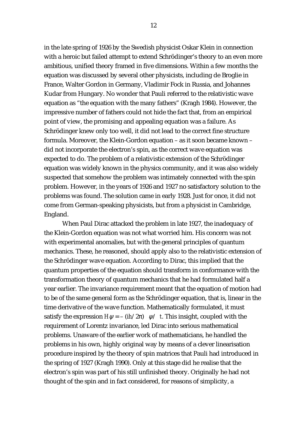in the late spring of 1926 by the Swedish physicist Oskar Klein in connection with a heroic but failed attempt to extend Schrödinger's theory to an even more ambitious, unified theory framed in five dimensions. Within a few months the equation was discussed by several other physicists, including de Broglie in France, Walter Gordon in Germany, Vladimir Fock in Russia, and Johannes Kudar from Hungary. No wonder that Pauli referred to the relativistic wave equation as "the equation with the many fathers" (Kragh 1984). However, the impressive number of fathers could not hide the fact that, from an empirical point of view, the promising and appealing equation was a failure. As Schrödinger knew only too well, it did not lead to the correct fine structure formula. Moreover, the Klein-Gordon equation – as it soon became known – did not incorporate the electron's spin, as the correct wave equation was expected to do. The problem of a relativistic extension of the Schrödinger equation was widely known in the physics community, and it was also widely suspected that somehow the problem was intimately connected with the spin problem. However, in the years of 1926 and 1927 no satisfactory solution to the problems was found. The solution came in early 1928. Just for once, it did not come from German-speaking physicists, but from a physicist in Cambridge, England.

 When Paul Dirac attacked the problem in late 1927, the inadequacy of the Klein-Gordon equation was not what worried him. His concern was not with experimental anomalies, but with the general principles of quantum mechanics. These, he reasoned, should apply also to the relativistic extension of the Schrödinger wave equation. According to Dirac, this implied that the quantum properties of the equation should transform in conformance with the transformation theory of quantum mechanics that he had formulated half a year earlier. The invariance requirement meant that the equation of motion had to be of the same general form as the Schrödinger equation, that is, linear in the time derivative of the wave function. Mathematically formulated, it must satisfy the expression  $H\psi = - (ih/2\pi)$   $\psi / t$ . This insight, coupled with the requirement of Lorentz invariance, led Dirac into serious mathematical problems. Unaware of the earlier work of mathematicians, he handled the problems in his own, highly original way by means of a clever linearisation procedure inspired by the theory of spin matrices that Pauli had introduced in the spring of 1927 (Kragh 1990). Only at this stage did he realise that the electron's spin was part of his still unfinished theory. Originally he had not thought of the spin and in fact considered, for reasons of simplicity, a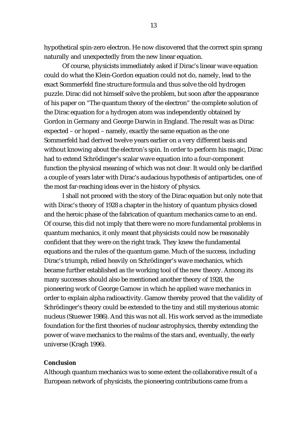hypothetical spin-zero electron. He now discovered that the correct spin sprang naturally and unexpectedly from the new linear equation.

 Of course, physicists immediately asked if Dirac's linear wave equation could do what the Klein-Gordon equation could not do, namely, lead to the exact Sommerfeld fine structure formula and thus solve the old hydrogen puzzle. Dirac did not himself solve the problem, but soon after the appearance of his paper on "The quantum theory of the electron" the complete solution of the Dirac equation for a hydrogen atom was independently obtained by Gordon in Germany and George Darwin in England. The result was as Dirac expected – or hoped – namely, exactly the same equation as the one Sommerfeld had derived twelve years earlier on a very different basis and without knowing about the electron's spin. In order to perform his magic, Dirac had to extend Schrödinger's scalar wave equation into a four-component function the physical meaning of which was not clear. It would only be clarified a couple of years later with Dirac's audacious hypothesis of antiparticles, one of the most far-reaching ideas ever in the history of physics.

 I shall not proceed with the story of the Dirac equation but only note that with Dirac's theory of 1928 a chapter in the history of quantum physics closed and the heroic phase of the fabrication of quantum mechanics came to an end. Of course, this did not imply that there were no more fundamental problems in quantum mechanics, it only meant that physicists could now be reasonably confident that they were on the right track. They knew the fundamental equations and the rules of the quantum game. Much of the success, including Dirac's triumph, relied heavily on Schrödinger's wave mechanics, which became further established as *the* working tool of the new theory. Among its many successes should also be mentioned another theory of 1928, the pioneering work of George Gamow in which he applied wave mechanics in order to explain alpha radioactivity. Gamow thereby proved that the validity of Schrödinger's theory could be extended to the tiny and still mysterious atomic nucleus (Stuewer 1986). And this was not all. His work served as the immediate foundation for the first theories of nuclear astrophysics, thereby extending the power of wave mechanics to the realms of the stars and, eventually, the early universe (Kragh 1996).

#### **Conclusion**

Although quantum mechanics was to some extent the collaborative result of a European network of physicists, the pioneering contributions came from a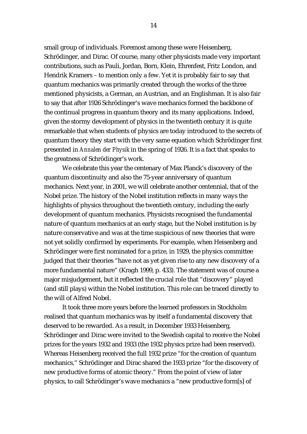small group of individuals. Foremost among these were Heisenberg, Schrödinger, and Dirac. Of course, many other physicists made very important contributions, such as Pauli, Jordan, Born, Klein, Ehrenfest, Fritz London, and Hendrik Kramers – to mention only a few. Yet it is probably fair to say that quantum mechanics was primarily created through the works of the three mentioned physicists, a German, an Austrian, and an Englishman. It is also fair to say that after 1926 Schrödinger's wave mechanics formed the backbone of the continual progress in quantum theory and its many applications. Indeed, given the stormy development of physics in the twentieth century it is quite remarkable that when students of physics are today introduced to the secrets of quantum theory they start with the very same equation which Schrödinger first presented in *Annalen der Physik* in the spring of 1926. It is a fact that speaks to the greatness of Schrödinger's work.

 We celebrate this year the centenary of Max Planck's discovery of the quantum discontinuity and also the 75-year anniversary of quantum mechanics. Next year, in 2001, we will celebrate another centennial, that of the Nobel prize. The history of the Nobel institution reflects in many ways the highlights of physics throughout the twentieth century, including the early development of quantum mechanics. Physicists recognised the fundamental nature of quantum mechanics at an early stage, but the Nobel institution is by nature conservative and was at the time suspicious of new theories that were not yet solidly confirmed by experiments. For example, when Heisenberg and Schrödinger were first nominated for a prize, in 1929, the physics committee judged that their theories "have not as yet given rise to any new discovery of a more fundamental nature" (Kragh 1999, p. 433). The statement was of course a major misjudgement, but it reflected the crucial role that "discovery" played (and still plays) within the Nobel institution. This role can be traced directly to the will of Alfred Nobel.

 It took three more years before the learned professors in Stockholm realised that quantum mechanics was by itself a fundamental discovery that deserved to be rewarded. As a result, in December 1933 Heisenberg, Schrödinger and Dirac were invited to the Swedish capital to receive the Nobel prizes for the years 1932 and 1933 (the 1932 physics prize had been reserved). Whereas Heisenberg received the full 1932 prize "for the creation of quantum mechanics," Schrödinger and Dirac shared the 1933 prize "for the discovery of new productive forms of atomic theory." From the point of view of later physics, to call Schrödinger's wave mechanics a "new productive form[s] of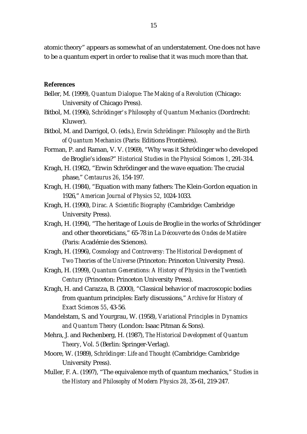atomic theory" appears as somewhat of an understatement. One does not have to be a quantum expert in order to realise that it was much more than that.

#### **References**

- Beller, M. (1999), *Quantum Dialogue: The Making of a Revolution* (Chicago: University of Chicago Press).
- Bitbol, M. (1996), *Schrödinger's Philosophy of Quantum Mechanics* (Dordrecht: Kluwer).
- Bitbol, M. and Darrigol, O. (eds.), *Erwin Schrödinger: Philosophy and the Birth of Quantum Mechanics* (Paris: Editions Frontières).
- Forman, P. and Raman, V. V. (1969), "Why was it Schrödinger who developed de Broglie's ideas?" *Historical Studies in the Physical Sciences 1*, 291-314.
- Kragh, H. (1982), "Erwin Schrödinger and the wave equation: The crucial phase," *Centaurus 26*, 154-197.
- Kragh, H. (1984), "Equation with many fathers: The Klein-Gordon equation in 1926," *American Journal of Physics 52*, 1024-1033.
- Kragh, H. (1990), *Dirac. A Scientific Biography* (Cambridge: Cambridge University Press).
- Kragh, H. (1994), "The heritage of Louis de Broglie in the works of Schrödinger and other theoreticians," 65-78 in *La Découverte des Ondes de Matière*  (Paris: Académie des Sciences).
- Kragh, H. (1996), *Cosmology and Controversy: The Historical Development of Two Theories of the Universe* (Princeton: Princeton University Press).
- Kragh, H. (1999), *Quantum Generations: A History of Physics in the Twentieth Century* (Princeton: Princeton University Press).
- Kragh, H. and Carazza, B. (2000), "Classical behavior of macroscopic bodies from quantum principles: Early discussions," *Archive for History of Exact Sciences 55*, 43-56.
- Mandelstam, S. and Yourgrau, W. (1958), *Variational Principles in Dynamics and Quantum Theory* (London: Isaac Pitman & Sons).
- Mehra, J. and Rechenberg, H. (1987), *The Historical Development of Quantum Theory*, Vol. 5 (Berlin: Springer-Verlag).
- Moore, W. (1989), *Schrödinger: Life and Thought* (Cambridge: Cambridge University Press).
- Muller, F. A. (1997), "The equivalence myth of quantum mechanics," *Studies in the History and Philosophy of Modern Physics 28*, 35-61, 219-247.